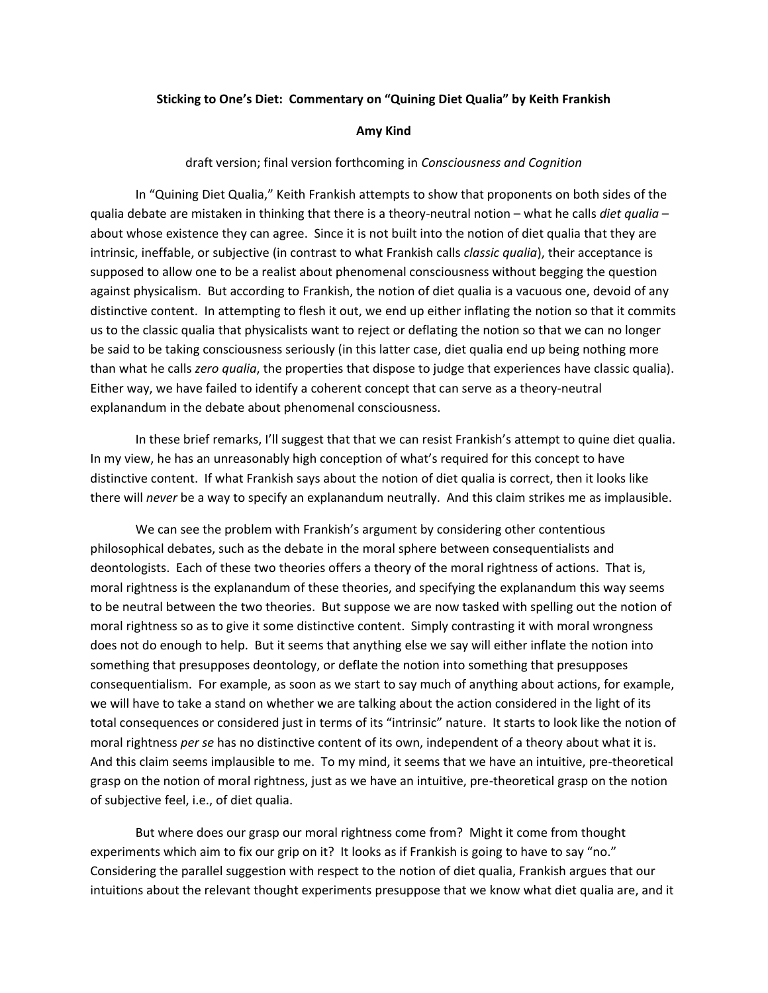## **Sticking to One's Diet: Commentary on "Quining Diet Qualia" by Keith Frankish**

## **Amy Kind**

## draft version; final version forthcoming in *Consciousness and Cognition*

 In "Quining Diet Qualia," Keith Frankish attempts to show that proponents on both sides of the qualia debate are mistaken in thinking that there is a theory‐neutral notion – what he calls *diet qualia* – about whose existence they can agree. Since it is not built into the notion of diet qualia that they are intrinsic, ineffable, or subjective (in contrast to what Frankish calls *classic qualia*), their acceptance is supposed to allow one to be a realist about phenomenal consciousness without begging the question against physicalism. But according to Frankish, the notion of diet qualia is a vacuous one, devoid of any distinctive content. In attempting to flesh it out, we end up either inflating the notion so that it commits us to the classic qualia that physicalists want to reject or deflating the notion so that we can no longer be said to be taking consciousness seriously (in this latter case, diet qualia end up being nothing more than what he calls *zero qualia*, the properties that dispose to judge that experiences have classic qualia). Either way, we have failed to identify a coherent concept that can serve as a theory‐neutral explanandum in the debate about phenomenal consciousness.

 In these brief remarks, I'll suggest that that we can resist Frankish's attempt to quine diet qualia. In my view, he has an unreasonably high conception of what's required for this concept to have distinctive content. If what Frankish says about the notion of diet qualia is correct, then it looks like there will *never* be a way to specify an explanandum neutrally. And this claim strikes me as implausible.

 We can see the problem with Frankish's argument by considering other contentious philosophical debates, such as the debate in the moral sphere between consequentialists and deontologists. Each of these two theories offers a theory of the moral rightness of actions. That is, moral rightness is the explanandum of these theories, and specifying the explanandum this way seems to be neutral between the two theories. But suppose we are now tasked with spelling out the notion of moral rightness so as to give it some distinctive content. Simply contrasting it with moral wrongness does not do enough to help. But it seems that anything else we say will either inflate the notion into something that presupposes deontology, or deflate the notion into something that presupposes consequentialism. For example, as soon as we start to say much of anything about actions, for example, we will have to take a stand on whether we are talking about the action considered in the light of its total consequences or considered just in terms of its "intrinsic" nature. It starts to look like the notion of moral rightness *per se* has no distinctive content of its own, independent of a theory about what it is. And this claim seems implausible to me. To my mind, it seems that we have an intuitive, pre‐theoretical grasp on the notion of moral rightness, just as we have an intuitive, pre-theoretical grasp on the notion of subjective feel, i.e., of diet qualia.

 But where does our grasp our moral rightness come from? Might it come from thought experiments which aim to fix our grip on it? It looks as if Frankish is going to have to say "no." Considering the parallel suggestion with respect to the notion of diet qualia, Frankish argues that our intuitions about the relevant thought experiments presuppose that we know what diet qualia are, and it